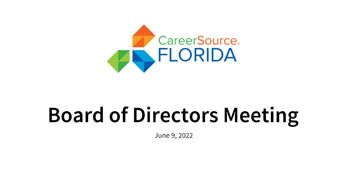

# **Board of Directors Meeting**

June 9, 2022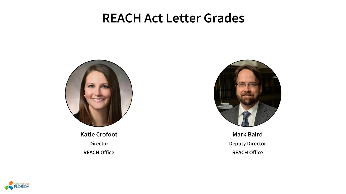### **REACH Act Letter Grades**



**Katie Crofoot Director REACH Office** 



**Mark Baird Deputy Director REACH Office** 

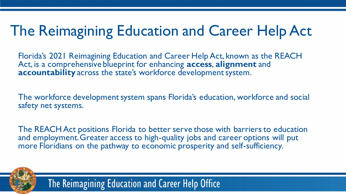## The Reimagining Education and Career Help Act

Florida's 2021 Reimagining Education and Career Help Act, known as the REACH Act, is a comprehensive blueprint for enhancing **access**, **alignment** and **accountability** across the state's workforce development system.

The workforce development system spans Florida's education, workforce and social safety net systems.

The REACH Act positions Florida to better serve those with barriers to education and employment. Greater access to high-quality jobs and career options will put more Floridians on the pathway to economic prosperity and self-sufficiency.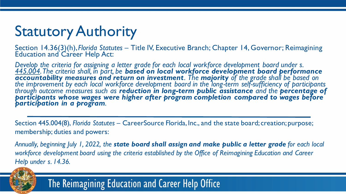## Statutory Authority

Section 14.36(3)(h), *Florida Statutes –* Title IV, Executive Branch; Chapter 14, Governor; Reimagining **Education and Career Help Act:** 

*Develop the criteria for assigning a letter grade for each local workforce development board under s. [445.004.](http://www.leg.state.fl.us/Statutes/index.cfm?App_mode=Display_Statute&Search_String=&URL=0400-0499/0445/Sections/0445.004.html) The criteria shall, in part, be based on local workforce development board performance accountability measures and return on investment. The majority of the grade shall be based on the improvement by each local workforce development board in the long-term self-sufficiency of participants through outcome measures such as reduction in long-term public assistance and the percentage of participants whose wages were higher after program completion compared to wages before participation in a program.*

Section 445.004(8), *Florida Statutes* – CareerSource Florida, Inc., and the state board; creation; purpose; membership; duties and powers:

*Annually, beginning July 1, 2022, the state board shall assign and make public a letter grade for each local workforce development board using the criteria established by the Office of Reimagining Education and Career Help under s. 14.36.*

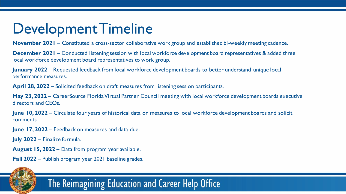### Development Timeline

**November 2021** – Constituted a cross-sector collaborative work group and established bi-weekly meeting cadence.

**December 2021** – Conducted listening session with local workforce development board representatives & added three local workforce development board representatives to work group.

**January 2022** – Requested feedback from local workforce development boards to better understand unique local performance measures.

**April 28, 2022** – Solicited feedback on draft measures from listening session participants.

**May 23, 2022** – CareerSource Florida Virtual Partner Council meeting with local workforce development boards executive directors and CEOs.

**June 10, 2022** – Circulate four years of historical data on measures to local workforce development boards and solicit comments.

**June 17, 2022** – Feedback on measures and data due.

**July 2022** – Finalize formula.

**August 15, 2022** – Data from program year available.

**Fall 2022** – Publish program year 2021 baseline grades.

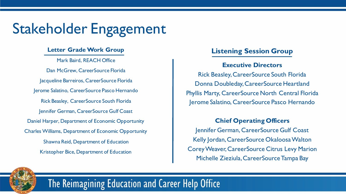## Stakeholder Engagement

#### **Letter Grade Work Group**

Mark Baird, REACH Office Dan McGrew, CareerSource Florida Jacqueline Barreiros, CareerSource Florida Jerome Salatino, CareerSource Pasco Hernando Rick Beasley, CareerSource South Florida Jennifer German, CareerSource Gulf Coast Daniel Harper, Department of Economic Opportunity Charles Williams, Department of Economic Opportunity Shawna Reid, Department of Education Kristopher Bice, Department of Education

#### **Listening Session Group**

#### **Executive Directors**

Rick Beasley, CareerSource South Florida Donna Doubleday, CareerSource Heartland Phyllis Marty, CareerSource North Central Florida Jerome Salatino, CareerSource Pasco Hernando

#### **Chief Operating Officers**

Jennifer German, CareerSource Gulf Coast Kelly Jordan, CareerSource Okaloosa Walton Corey Weaver, CareerSource Citrus Levy Marion Michelle Zieziula, CareerSource Tampa Bay

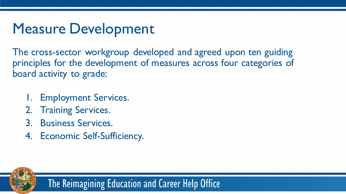### Measure Development

The cross-sector workgroup developed and agreed upon ten guiding principles for the development of measures across four categories of board activity to grade:

- **Employment Services.**
- 2. Training Services.
- 3. Business Services.
- 4. Economic Self-Sufficiency.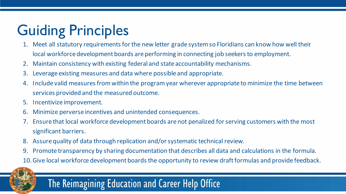## Guiding Principles

- 1. Meet all statutory requirements for the new letter grade system so Floridians can know how well their local workforce development boards are performing in connecting job seekers to employment.
- 2. Maintain consistency with existing federal and state accountability mechanisms.
- 3. Leverage existing measures and data where possible and appropriate.
- 4. Include valid measures from within the program year wherever appropriate to minimize the time between services provided and the measured outcome.
- 5. Incentivize improvement.
- 6. Minimize perverse incentives and unintended consequences.
- 7. Ensure that local workforce development boards are not penalized for serving customers with the most significant barriers.
- 8. Assure quality of data through replication and/or systematic technical review.
- 9. Promote transparency by sharing documentation that describes all data and calculations in the formula.
- 10.Give local workforce development boards the opportunity to review draft formulas and provide feedback.

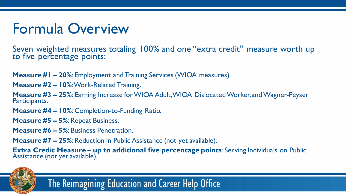### Formula Overview

Seven weighted measures totaling 100% and one "extra credit" measure worth up to five percentage points:

**Measure #1 – 20%**: Employment and Training Services (WIOA measures).

- **Measure #2 – 10%**: Work-Related Training.
- **Measure #3 – 25%**: Earning Increase for WIOA Adult, WIOA Dislocated Worker, and Wagner-Peyser Participants.
- **Measure #4 – 10%**: Completion-to-Funding Ratio.
- **Measure #5 – 5%**: Repeat Business.
- **Measure #6 – 5%**: Business Penetration.
- **Measure #7 – 25%**: Reduction in Public Assistance (not yet available).

**Extra Credit Measure – up to additional five percentage points: Serving Individuals on Public** Assistance (not yet available).

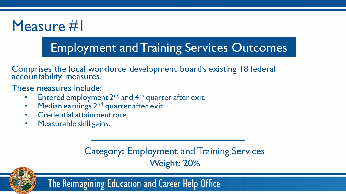### Measure #1

### Employment and Training Services Outcomes

Comprises the local workforce development board's existing 18 federal accountability measures.

These measures include:

- Entered employment  $2^{nd}$  and  $4^{th}$  quarter after exit.
- Median earnings  $2<sup>nd</sup>$  quarter after exit.
- Credential attainment rate.
- Measurable skill gains.

### Category**:** Employment and Training Services Weight: 20%

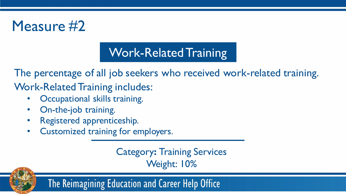

### Work-Related Training

The percentage of all job seekers who received work-related training.

Work-Related Training includes:

- Occupational skills training.
- On-the-job training.
- Registered apprenticeship.
- Customized training for employers.

Category**:** Training Services Weight: 10%

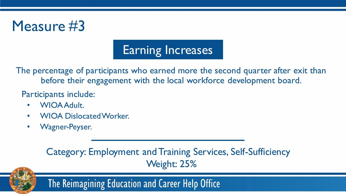

### Earning Increases

The percentage of participants who earned more the second quarter after exit than before their engagement with the local workforce development board.

#### Participants include:

- WIOA Adult.
- WIOA Dislocated Worker.
- Wagner-Peyser.

#### Category: Employment and Training Services, Self-Sufficiency Weight: 25%

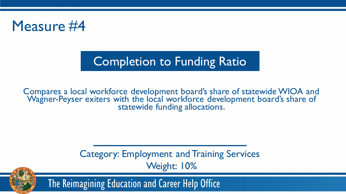

### Completion to Funding Ratio

Compares a local workforce development board's share of statewide WIOA and Wagner-Peyser exiters with the local workforce development board's share of statewide funding allocations.

> Category: Employment and Training Services Weight: 10%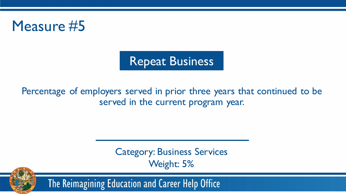

### Repeat Business

#### Percentage of employers served in prior three years that continued to be served in the current program year.

Category: Business Services Weight: 5%

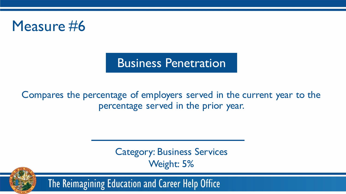

### Business Penetration

#### Compares the percentage of employers served in the current year to the percentage served in the prior year.

Category: Business Services Weight: 5%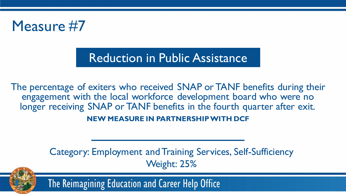

### Reduction in Public Assistance

The percentage of exiters who received SNAP or TANF benefits during their engagement with the local workforce development board who were no longer receiving SNAP or TANF benefits in the fourth quarter after exit.

**NEW MEASURE IN PARTNERSHIP WITH DCF**

Category: Employment and Training Services, Self-Sufficiency Weight: 25%

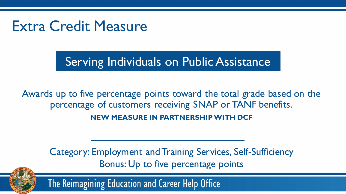### Extra Credit Measure

Serving Individuals on Public Assistance

Awards up to five percentage points toward the total grade based on the percentage of customers receiving SNAP or TANF benefits. **NEW MEASURE IN PARTNERSHIP WITH DCF**

Category: Employment and Training Services, Self-Sufficiency Bonus: Up to five percentage points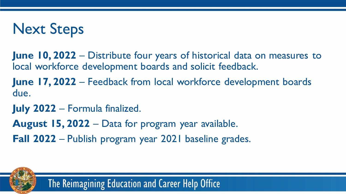Next Steps

**June 10, 2022** – Distribute four years of historical data on measures to local workforce development boards and solicit feedback.

**June 17, 2022** – Feedback from local workforce development boards due.

- **July 2022** Formula finalized.
- **August 15, 2022** Data for program year available.
- **Fall 2022** Publish program year 2021 baseline grades.